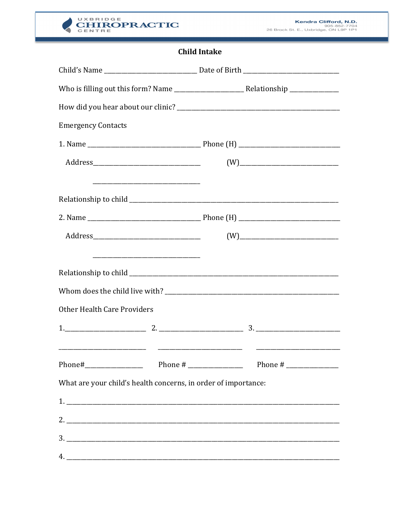

## **Child Intake**

| <b>Emergency Contacts</b>                                      |                     |
|----------------------------------------------------------------|---------------------|
|                                                                |                     |
|                                                                | $(W) \label{eq:10}$ |
|                                                                |                     |
|                                                                |                     |
|                                                                |                     |
|                                                                |                     |
| <b>Other Health Care Providers</b>                             |                     |
| $1.$ $2.$ $2.$ $3.$ $3.$                                       |                     |
|                                                                |                     |
| What are your child's health concerns, in order of importance: |                     |
|                                                                |                     |
|                                                                |                     |
|                                                                |                     |
|                                                                |                     |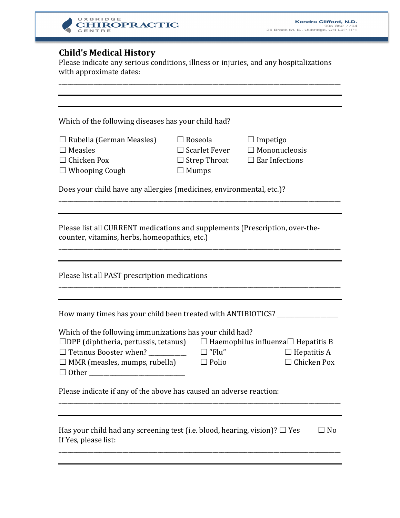

## **Child's Medical History**

Please indicate any serious conditions, illness or injuries, and any hospitalizations with approximate dates:

| Which of the following diseases has your child had?<br>$\Box$ Rubella (German Measles)<br>$\Box$ Roseola<br>$\Box$ Impetigo<br>$\Box$ Measles<br>$\Box$ Scarlet Fever<br>$\Box$ Mononucleosis<br>$\Box$ Chicken Pox<br>$\Box$ Strep Throat<br>$\Box$ Ear Infections<br>$\Box$ Whooping Cough<br>$\Box$ Mumps<br>Does your child have any allergies (medicines, environmental, etc.)?<br>Please list all CURRENT medications and supplements (Prescription, over-the-<br>counter, vitamins, herbs, homeopathics, etc.)<br>Please list all PAST prescription medications |  |  |  |  |
|------------------------------------------------------------------------------------------------------------------------------------------------------------------------------------------------------------------------------------------------------------------------------------------------------------------------------------------------------------------------------------------------------------------------------------------------------------------------------------------------------------------------------------------------------------------------|--|--|--|--|
|                                                                                                                                                                                                                                                                                                                                                                                                                                                                                                                                                                        |  |  |  |  |
|                                                                                                                                                                                                                                                                                                                                                                                                                                                                                                                                                                        |  |  |  |  |
|                                                                                                                                                                                                                                                                                                                                                                                                                                                                                                                                                                        |  |  |  |  |
|                                                                                                                                                                                                                                                                                                                                                                                                                                                                                                                                                                        |  |  |  |  |
|                                                                                                                                                                                                                                                                                                                                                                                                                                                                                                                                                                        |  |  |  |  |
| How many times has your child been treated with ANTIBIOTICS?<br>Which of the following immunizations has your child had?<br>$\Box$ DPP (diphtheria, pertussis, tetanus)<br>$\Box$ Haemophilus influenza $\Box$ Hepatitis B<br>$\Box$ Tetanus Booster when?<br>$\square$ "Flu"<br>$\Box$ Hepatitis A<br>$\Box$ Chicken Pox<br>$\Box$ MMR (measles, mumps, rubella)<br>$\Box$ Polio<br>$\Box$ Other                                                                                                                                                                      |  |  |  |  |
| Please indicate if any of the above has caused an adverse reaction:                                                                                                                                                                                                                                                                                                                                                                                                                                                                                                    |  |  |  |  |
| Has your child had any screening test (i.e. blood, hearing, vision)? $\Box$ Yes<br>$\Box$ No<br>If Yes, please list:                                                                                                                                                                                                                                                                                                                                                                                                                                                   |  |  |  |  |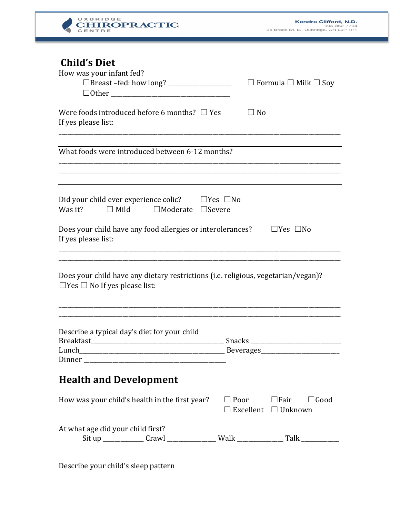

| <b>Child's Diet</b><br>How was your infant fed?<br>$\Box$ Other                                                               | $\Box$ Formula $\Box$ Milk $\Box$ Soy                                  |  |  |  |
|-------------------------------------------------------------------------------------------------------------------------------|------------------------------------------------------------------------|--|--|--|
| Were foods introduced before 6 months? $\Box$ Yes<br>If yes please list:                                                      | $\Box$ No                                                              |  |  |  |
| What foods were introduced between 6-12 months?                                                                               |                                                                        |  |  |  |
| Did your child ever experience colic? $\Box$ Yes $\Box$ No<br>Was it?<br>$\Box$ Moderate $\Box$ Severe<br>$\Box$ Mild         |                                                                        |  |  |  |
| Does your child have any food allergies or interolerances?<br>$\Box$ Yes $\Box$ No<br>If yes please list:                     |                                                                        |  |  |  |
| Does your child have any dietary restrictions (i.e. religious, vegetarian/vegan)?<br>$\Box$ Yes $\Box$ No If yes please list: |                                                                        |  |  |  |
| Describe a typical day's diet for your child<br><b>Breakfast</b>                                                              | <b>Snacks</b>                                                          |  |  |  |
| <b>Health and Development</b>                                                                                                 |                                                                        |  |  |  |
| How was your child's health in the first year?                                                                                | $\Box$ Poor $\Box$ Fair $\Box$ Good<br>$\Box$ Excellent $\Box$ Unknown |  |  |  |
| At what age did your child first?<br>Sit up ______________ Crawl __________________ Walk _____________________________        |                                                                        |  |  |  |

Describe your child's sleep pattern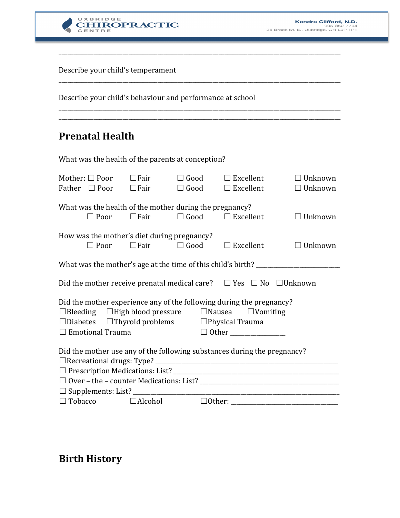

Describe your child's temperament

Describe your child's behaviour and performance at school

## **Prenatal Health**

What was the health of the parents at conception?

| Mother: $\Box$ Poor<br>Father $\Box$ Poor                                                                                                  |                | $\Box$ Fair<br>$\Box$ Fair                  | $\Box$ Good<br>$\Box$ Good | $\Box$ Excellent<br>$\Box$ Excellent | $\Box$ Unknown<br>$\Box$ Unknown |  |
|--------------------------------------------------------------------------------------------------------------------------------------------|----------------|---------------------------------------------|----------------------------|--------------------------------------|----------------------------------|--|
| What was the health of the mother during the pregnancy?                                                                                    |                |                                             |                            |                                      |                                  |  |
|                                                                                                                                            | $\square$ Poor | $\Box$ Fair                                 | $\Box$ Good                | $\Box$ Excellent                     | $\Box$ Unknown                   |  |
|                                                                                                                                            |                | How was the mother's diet during pregnancy? |                            |                                      |                                  |  |
|                                                                                                                                            | $\Box$ Poor    | $\Box$ Fair                                 | $\Box$ Good                | $\Box$ Excellent                     | $\Box$ Unknown                   |  |
| What was the mother's age at the time of this child's birth? ____________________                                                          |                |                                             |                            |                                      |                                  |  |
|                                                                                                                                            |                |                                             |                            |                                      |                                  |  |
| Did the mother receive prenatal medical care? $\Box$ Yes $\Box$ No $\Box$ Unknown                                                          |                |                                             |                            |                                      |                                  |  |
| Did the mother experience any of the following during the pregnancy?                                                                       |                |                                             |                            |                                      |                                  |  |
| $\Box$ Bleeding $\Box$ High blood pressure $\Box$ Nausea $\Box$ Vomiting<br>$\Box$ Diabetes $\Box$ Thyroid problems $\Box$ Physical Trauma |                |                                             |                            |                                      |                                  |  |
| $\Box$ Emotional Trauma                                                                                                                    |                |                                             |                            |                                      |                                  |  |
|                                                                                                                                            |                |                                             |                            |                                      |                                  |  |
| Did the mother use any of the following substances during the pregnancy?                                                                   |                |                                             |                            |                                      |                                  |  |
|                                                                                                                                            |                |                                             |                            |                                      |                                  |  |
|                                                                                                                                            |                |                                             |                            |                                      |                                  |  |
|                                                                                                                                            |                |                                             |                            |                                      |                                  |  |
|                                                                                                                                            |                |                                             |                            |                                      |                                  |  |
|                                                                                                                                            | $\Box$ Tobacco | $\Box$ Alcohol                              | $\Box$ Other:              |                                      |                                  |  |

\_\_\_\_\_\_\_\_\_\_\_\_\_\_\_\_\_\_\_\_\_\_\_\_\_\_\_\_\_\_\_\_\_\_\_\_\_\_\_\_\_\_\_\_\_\_\_\_\_\_\_\_\_\_\_\_\_\_\_\_\_\_\_\_\_\_\_\_\_\_\_\_\_\_\_\_\_\_\_\_\_\_\_\_\_\_\_\_\_\_\_\_\_\_\_\_\_

\_\_\_\_\_\_\_\_\_\_\_\_\_\_\_\_\_\_\_\_\_\_\_\_\_\_\_\_\_\_\_\_\_\_\_\_\_\_\_\_\_\_\_\_\_\_\_\_\_\_\_\_\_\_\_\_\_\_\_\_\_\_\_\_\_\_\_\_\_\_\_\_\_\_\_\_\_\_\_\_\_\_\_\_\_\_\_\_\_\_\_\_\_\_\_\_\_

\_\_\_\_\_\_\_\_\_\_\_\_\_\_\_\_\_\_\_\_\_\_\_\_\_\_\_\_\_\_\_\_\_\_\_\_\_\_\_\_\_\_\_\_\_\_\_\_\_\_\_\_\_\_\_\_\_\_\_\_\_\_\_\_\_\_\_\_\_\_\_\_\_\_\_\_\_\_\_\_\_\_\_\_\_\_\_\_\_\_\_\_\_\_\_\_\_ \_\_\_\_\_\_\_\_\_\_\_\_\_\_\_\_\_\_\_\_\_\_\_\_\_\_\_\_\_\_\_\_\_\_\_\_\_\_\_\_\_\_\_\_\_\_\_\_\_\_\_\_\_\_\_\_\_\_\_\_\_\_\_\_\_\_\_\_\_\_\_\_\_\_\_\_\_\_\_\_\_\_\_\_\_\_\_\_\_\_\_\_\_\_\_\_\_

## **Birth History**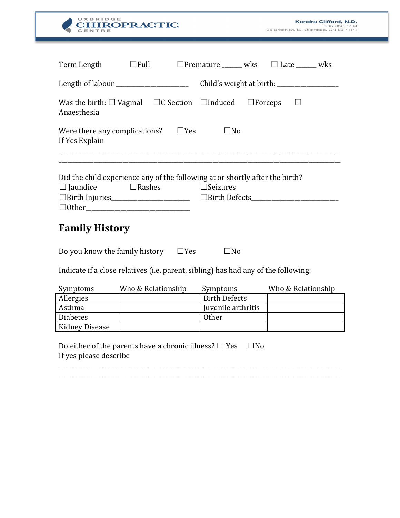| UXBRIDGE<br><b>HIROPRACTIC</b>                                                                                                                               | Kendra Clifford, N.D.<br>905-852-7704<br>26 Brock St. E., Uxbridge, ON L9P 1P1 |  |  |  |  |
|--------------------------------------------------------------------------------------------------------------------------------------------------------------|--------------------------------------------------------------------------------|--|--|--|--|
|                                                                                                                                                              |                                                                                |  |  |  |  |
| Term Length                                                                                                                                                  | $\Box$ Full $\Box$ Premature _______ wks $\Box$ Late ______ wks                |  |  |  |  |
| Length of labour ________________________                                                                                                                    |                                                                                |  |  |  |  |
| Was the birth: $\Box$ Vaginal $\Box$ C-Section $\Box$ Induced $\Box$ Forceps $\Box$<br>Anaesthesia                                                           |                                                                                |  |  |  |  |
| $\Box$ Yes<br>$\square$ No<br>Were there any complications?<br>If Yes Explain                                                                                |                                                                                |  |  |  |  |
| Did the child experience any of the following at or shortly after the birth?<br>$\Box$ Jaundice<br>$\Box$ Rashes<br>$\Box$ Seizures<br><b>Family History</b> |                                                                                |  |  |  |  |
| Do you know the family history $\square$ Yes<br>$\square$ No<br>Indicate if a close relatives (i.e. parent, sibling) has had any of the following:           |                                                                                |  |  |  |  |
|                                                                                                                                                              |                                                                                |  |  |  |  |
| Who & Relationship<br>Symptoms                                                                                                                               | Who & Relationship<br>Symptoms                                                 |  |  |  |  |
| Allergies                                                                                                                                                    | <b>Birth Defects</b>                                                           |  |  |  |  |
| Asthma                                                                                                                                                       | Juvenile arthritis                                                             |  |  |  |  |
| <b>Diabetes</b>                                                                                                                                              | <b>Other</b>                                                                   |  |  |  |  |
| Kidney Disease<br>Do either of the parents have a chronic illness? $\Box$ Yes                                                                                | $\square$ No                                                                   |  |  |  |  |
| If yes please describe                                                                                                                                       |                                                                                |  |  |  |  |

 $\overline{\phantom{0}}$ 

\_\_\_\_\_\_\_\_\_\_\_\_\_\_\_\_\_\_\_\_\_\_\_\_\_\_\_\_\_\_\_\_\_\_\_\_\_\_\_\_\_\_\_\_\_\_\_\_\_\_\_\_\_\_\_\_\_\_\_\_\_\_\_\_\_\_\_\_\_\_\_\_\_\_\_\_\_\_\_\_\_\_\_\_\_\_\_\_\_\_\_\_\_\_\_\_\_ \_\_\_\_\_\_\_\_\_\_\_\_\_\_\_\_\_\_\_\_\_\_\_\_\_\_\_\_\_\_\_\_\_\_\_\_\_\_\_\_\_\_\_\_\_\_\_\_\_\_\_\_\_\_\_\_\_\_\_\_\_\_\_\_\_\_\_\_\_\_\_\_\_\_\_\_\_\_\_\_\_\_\_\_\_\_\_\_\_\_\_\_\_\_\_\_\_